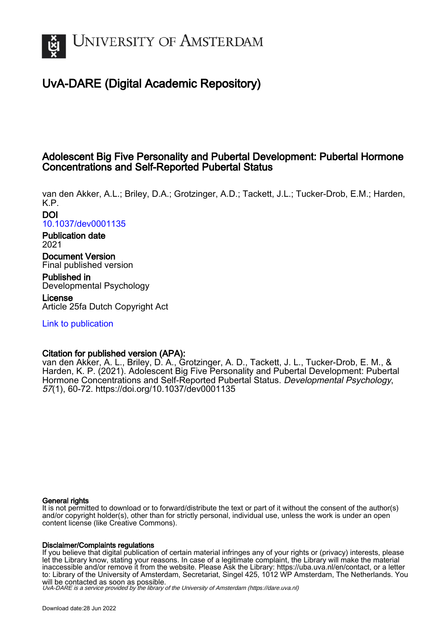

# UvA-DARE (Digital Academic Repository)

# Adolescent Big Five Personality and Pubertal Development: Pubertal Hormone Concentrations and Self-Reported Pubertal Status

van den Akker, A.L.; Briley, D.A.; Grotzinger, A.D.; Tackett, J.L.; Tucker-Drob, E.M.; Harden, K.P. DOI

[10.1037/dev0001135](https://doi.org/10.1037/dev0001135)

Publication date 2021

Document Version Final published version

Published in Developmental Psychology License

Article 25fa Dutch Copyright Act

[Link to publication](https://dare.uva.nl/personal/pure/en/publications/adolescent-big-five-personality-and-pubertal-development-pubertal-hormone-concentrations-and-selfreported-pubertal-status(9221adf0-1b28-41e6-9264-76fef780ffaa).html)

# Citation for published version (APA):

van den Akker, A. L., Briley, D. A., Grotzinger, A. D., Tackett, J. L., Tucker-Drob, E. M., & Harden, K. P. (2021). Adolescent Big Five Personality and Pubertal Development: Pubertal Hormone Concentrations and Self-Reported Pubertal Status. Developmental Psychology, 57(1), 60-72. <https://doi.org/10.1037/dev0001135>

# General rights

It is not permitted to download or to forward/distribute the text or part of it without the consent of the author(s) and/or copyright holder(s), other than for strictly personal, individual use, unless the work is under an open content license (like Creative Commons).

# Disclaimer/Complaints regulations

If you believe that digital publication of certain material infringes any of your rights or (privacy) interests, please let the Library know, stating your reasons. In case of a legitimate complaint, the Library will make the material inaccessible and/or remove it from the website. Please Ask the Library: https://uba.uva.nl/en/contact, or a letter to: Library of the University of Amsterdam, Secretariat, Singel 425, 1012 WP Amsterdam, The Netherlands. You will be contacted as soon as possible.

UvA-DARE is a service provided by the library of the University of Amsterdam (http*s*://dare.uva.nl)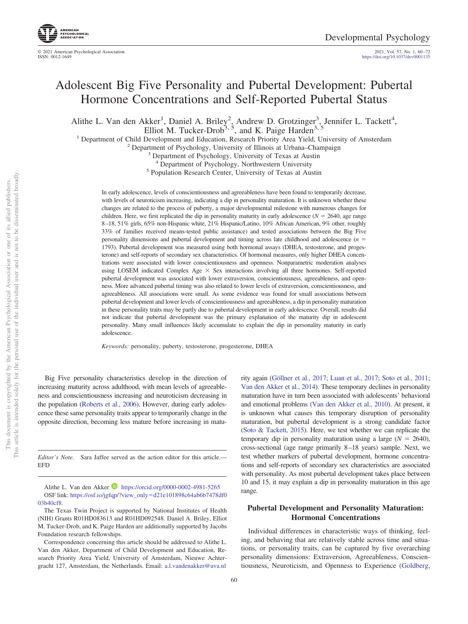2021, Vol. 57, No. 1, 60-72<br>https://doi.org[/10.1037/dev0001135](https://doi.org/10.1037/dev0001135)

# Adolescent Big Five Personality and Pubertal Development: Pubertal Hormone Concentrations and Self-Reported Pubertal Status

Alithe L. Van den Akker<sup>1</sup>, Daniel A. Briley<sup>2</sup>, Andrew D. Grotzinger<sup>3</sup>, Jennifer L. Tackett<sup>4</sup>, Elliot M. Tucker-Drob<sup>3, 5</sup>, and K. Paige Harden<sup>3, 5</sup>

<sup>1</sup> Department of Child Development and Education, Research Priority Area Yield, University of Amsterdam<sup>2</sup> Department of Psychology, University of Illinois at Urbana–Champaign<sup>3</sup> Department of Psychology, University of T

<sup>5</sup> Population Research Center, University of Texas at Austin

In early adolescence, levels of conscientiousness and agreeableness have been found to temporarily decrease, with levels of neuroticism increasing, indicating a dip in personality maturation. It is unknown whether these changes are related to the process of puberty, a major developmental milestone with numerous changes for children. Here, we first replicated the dip in personality maturity in early adolescence  $(N = 2640, \text{ age range})$ 8 –18, 51% girls, 65% non-Hispanic white, 21% Hispanic/Latino, 10% African American, 9% other, roughly 33% of families received means-tested public assistance) and tested associations between the Big Five personality dimensions and pubertal development and timing across late childhood and adolescence (*n* = 1793). Pubertal development was measured using both hormonal assays (DHEA, testosterone, and progesterone) and self-reports of secondary sex characteristics. Of hormonal measures, only higher DHEA concentrations were associated with lower conscientiousness and openness. Nonparametric moderation analyses using LOSEM indicated Complex Age  $\times$  Sex interactions involving all three hormones. Self-reported pubertal development was associated with lower extraversion, conscientiousness, agreeableness, and openness. More advanced pubertal timing was also related to lower levels of extraversion, conscientiousness, and agreeableness. All associations were small. As some evidence was found for small associations between pubertal development and lower levels of conscientiousness and agreeableness, a dip in personality maturation in these personality traits may be partly due to pubertal development in early adolescence. Overall, results did not indicate that pubertal development was the primary explanation of the maturity dip in adolescent personality. Many small influences likely accumulate to explain the dip in personality maturity in early adolescence.

*Keywords:* personality, puberty, testosterone, progesterone, DHEA

Big Five personality characteristics develop in the direction of increasing maturity across adulthood, with mean levels of agreeableness and conscientiousness increasing and neuroticism decreasing in the population [\(Roberts et al., 2006\)](#page-13-0). However, during early adolescence these same personality traits appear to temporarily change in the opposite direction, becoming less mature before increasing in matu-

*Editor's Note.* Sara Jaffee served as the action editor for this article.— EFD

Alithe L. Van den Akker  $\blacksquare$  https://orcid.org/0000-0002-4981-5265 OSF link: [https://osf.io/jgfqp/?view\\_only](https://osf.io/jgfqp/?view_only=d21e101898c64ab6b7478df003b40cf8)-d21e101898c64ab6b7478df0 [03b40cf8.](https://osf.io/jgfqp/?view_only=d21e101898c64ab6b7478df003b40cf8)

Correspondence concerning this article should be addressed to Alithe L. Van den Akker, Department of Child Development and Education, Research Priority Area Yield, University of Amsterdam, Nieuwe Achtergracht 127, Amsterdam, the Netherlands. Email: [a.l.vandenakker@uva.nl](mailto:a.l.vandenakker@uva.nl)

rity again [\(Göllner et al., 2017;](#page-12-0) [Luan et al., 2017;](#page-13-1) [Soto et al., 2011;](#page-13-2) [Van den Akker et al., 2014\)](#page-13-3). These temporary declines in personality maturation have in turn been associated with adolescents' behavioral and emotional problems [\(Van den Akker et al., 2010\)](#page-13-4). At present, it is unknown what causes this temporary disruption of personality maturation, but pubertal development is a strong candidate factor [\(Soto & Tackett, 2015\)](#page-13-5). Here, we test whether we can replicate the temporary dip in personality maturation using a large  $(N = 2640)$ , cross-sectional (age range primarily 8 –18 years) sample. Next, we test whether markers of pubertal development, hormone concentrations and self-reports of secondary sex characteristics are associated with personality. As most pubertal development takes place between 10 and 15, it may explain a dip in personality maturation in this age range.

## **Pubertal Development and Personality Maturation: Hormonal Concentrations**

Individual differences in characteristic ways of thinking, feeling, and behaving that are relatively stable across time and situations, or personality traits, can be captured by five overarching personality dimensions: Extraversion, Agreeableness, Conscientiousness, Neuroticism, and Openness to Experience [\(Goldberg,](#page-12-1)

The Texas Twin Project is supported by National Institutes of Health (NIH) Grants R01HD083613 and R01HD092548. Daniel A. Briley, Elliot M. Tucker-Drob, and K. Paige Harden are additionally supported by Jacobs Foundation research fellowships.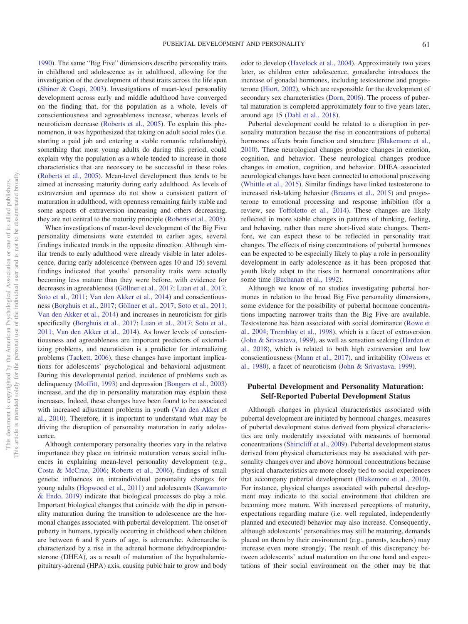[1990\)](#page-12-1). The same "Big Five" dimensions describe personality traits in childhood and adolescence as in adulthood, allowing for the investigation of the development of these traits across the life span [\(Shiner & Caspi, 2003\)](#page-13-6). Investigations of mean-level personality development across early and middle adulthood have converged on the finding that, for the population as a whole, levels of conscientiousness and agreeableness increase, whereas levels of neuroticism decrease [\(Roberts et al., 2005\)](#page-13-7). To explain this phenomenon, it was hypothesized that taking on adult social roles (i.e. starting a paid job and entering a stable romantic relationship), something that most young adults do during this period, could explain why the population as a whole tended to increase in those characteristics that are necessary to be successful in these roles [\(Roberts et al., 2005\)](#page-13-7). Mean-level development thus tends to be aimed at increasing maturity during early adulthood. As levels of extraversion and openness do not show a consistent pattern of maturation in adulthood, with openness remaining fairly stable and some aspects of extraversion increasing and others decreasing, they are not central to the maturity principle [\(Roberts et al., 2005\)](#page-13-7).

When investigations of mean-level development of the Big Five personality dimensions were extended to earlier ages, several findings indicated trends in the opposite direction. Although similar trends to early adulthood were already visible in later adolescence, during early adolescence (between ages 10 and 15) several findings indicated that youths' personality traits were actually becoming less mature than they were before, with evidence for decreases in agreeableness [\(Göllner et al., 2017;](#page-12-0) [Luan et al., 2017;](#page-13-1) [Soto et al., 2011;](#page-13-2) [Van den Akker et al., 2014\)](#page-13-3) and conscientiousness [\(Borghuis et al., 2017;](#page-11-0) [Göllner et al., 2017;](#page-12-0) [Soto et al., 2011;](#page-13-2) [Van den Akker et al., 2014\)](#page-13-3) and increases in neuroticism for girls specifically [\(Borghuis et al., 2017;](#page-11-0) [Luan et al., 2017;](#page-13-1) [Soto et al.,](#page-13-2) [2011;](#page-13-2) [Van den Akker et al., 2014\)](#page-13-3). As lower levels of conscientiousness and agreeableness are important predictors of externalizing problems, and neuroticism is a predictor for internalizing problems [\(Tackett, 2006\)](#page-13-8), these changes have important implications for adolescents' psychological and behavioral adjustment. During this developmental period, incidence of problems such as delinquency [\(Moffitt, 1993\)](#page-13-9) and depression [\(Bongers et al., 2003\)](#page-11-1) increase, and the dip in personality maturation may explain these increases. Indeed, these changes have been found to be associated with increased adjustment problems in youth [\(Van den Akker et](#page-13-4) [al., 2010\)](#page-13-4). Therefore, it is important to understand what may be driving the disruption of personality maturation in early adolescence.

Although contemporary personality theories vary in the relative importance they place on intrinsic maturation versus social influences in explaining mean-level personality development (e.g., [Costa & McCrae, 2006;](#page-12-2) [Roberts et al., 2006\)](#page-13-0), findings of small genetic influences on intraindividual personality changes for young adults [\(Hopwood et al., 2011\)](#page-12-3) and adolescents [\(Kawamoto](#page-12-4) [& Endo, 2019\)](#page-12-4) indicate that biological processes do play a role. Important biological changes that coincide with the dip in personality maturation during the transition to adolescence are the hormonal changes associated with pubertal development. The onset of puberty in humans, typically occurring in childhood when children are between 6 and 8 years of age, is adrenarche. Adrenarche is characterized by a rise in the adrenal hormone dehydroepiandrosterone (DHEA), as a result of maturation of the hypothalamicpituitary-adrenal (HPA) axis, causing pubic hair to grow and body

odor to develop [\(Havelock et al., 2004\)](#page-12-5). Approximately two years later, as children enter adolescence, gonadarche introduces the increase of gonadal hormones, including testosterone and progesterone [\(Hiort, 2002\)](#page-12-6), which are responsible for the development of secondary sex characteristics [\(Dorn, 2006\)](#page-12-7). The process of pubertal maturation is completed approximately four to five years later, around age 15 [\(Dahl et al., 2018\)](#page-12-8).

Pubertal development could be related to a disruption in personality maturation because the rise in concentrations of pubertal hormones affects brain function and structure [\(Blakemore et al.,](#page-11-2) [2010\)](#page-11-2). These neurological changes produce changes in emotion, cognition, and behavior. These neurological changes produce changes in emotion, cognition, and behavior. DHEA associated neurological changes have been connected to emotional processing [\(Whittle et al., 2015\)](#page-13-10). Similar findings have linked testosterone to increased risk-taking behavior [\(Braams et al., 2015\)](#page-11-3) and progesterone to emotional processing and response inhibition (for a review, see [Toffoletto et al., 2014\)](#page-13-11). These changes are likely reflected in more stable changes in patterns of thinking, feeling, and behaving, rather than mere short-lived state changes. Therefore, we can expect these to be reflected in personality trait changes. The effects of rising concentrations of pubertal hormones can be expected to be especially likely to play a role in personality development in early adolescence as it has been proposed that youth likely adapt to the rises in hormonal concentrations after some time [\(Buchanan et al., 1992\)](#page-12-9).

Although we know of no studies investigating pubertal hormones in relation to the broad Big Five personality dimensions, some evidence for the possibility of pubertal hormone concentrations impacting narrower traits than the Big Five are available. Testosterone has been associated with social dominance [\(Rowe et](#page-13-12) [al., 2004;](#page-13-12) [Tremblay et al., 1998\)](#page-13-13), which is a facet of extraversion [\(John & Srivastava, 1999\)](#page-12-10), as well as sensation seeking [\(Harden et](#page-12-11) [al., 2018\)](#page-12-11), which is related to both high extraversion and low conscientiousness [\(Mann et al., 2017\)](#page-13-14), and irritability [\(Olweus et](#page-13-15) [al., 1980\)](#page-13-15), a facet of neuroticism [\(John & Srivastava, 1999\)](#page-12-10).

## **Pubertal Development and Personality Maturation: Self-Reported Pubertal Development Status**

Although changes in physical characteristics associated with pubertal development are initiated by hormonal changes, measures of pubertal development status derived from physical characteristics are only moderately associated with measures of hormonal concentrations [\(Shirtcliff et al., 2009\)](#page-13-16). Pubertal development status derived from physical characteristics may be associated with personality changes over and above hormonal concentrations because physical characteristics are more closely tied to social experiences that accompany pubertal development [\(Blakemore et al., 2010\)](#page-11-2). For instance, physical changes associated with pubertal development may indicate to the social environment that children are becoming more mature. With increased perceptions of maturity, expectations regarding mature (i.e. well regulated, independently planned and executed) behavior may also increase. Consequently, although adolescents' personalities may still be maturing, demands placed on them by their environment (e.g., parents, teachers) may increase even more strongly. The result of this discrepancy between adolescents' actual maturation on the one hand and expectations of their social environment on the other may be that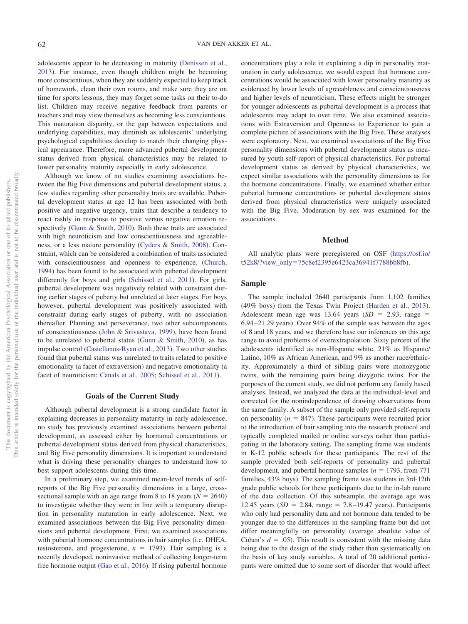adolescents appear to be decreasing in maturity [\(Denissen et al.,](#page-12-12) [2013\)](#page-12-12). For instance, even though children might be becoming more conscientious, when they are suddenly expected to keep track of homework, clean their own rooms, and make sure they are on time for sports lessons, they may forget some tasks on their to-do list. Children may receive negative feedback from parents or teachers and may view themselves as becoming less conscientious. This maturation disparity, or the gap between expectations and underlying capabilities, may diminish as adolescents' underlying psychological capabilities develop to match their changing physical appearance. Therefore, more advanced pubertal development status derived from physical characteristics may be related to lower personality maturity especially in early adolescence.

Although we know of no studies examining associations between the Big Five dimensions and pubertal development status, a few studies regarding other personality traits are available. Pubertal development status at age 12 has been associated with both positive and negative urgency, traits that describe a tendency to react rashly in response to positive versus negative emotion respectively [\(Gunn & Smith, 2010\)](#page-12-13). Both these traits are associated with high neuroticism and low conscientiousness and agreeableness, or a less mature personality [\(Cyders & Smith, 2008\)](#page-12-14). Constraint, which can be considered a combination of traits associated with conscientiousness and openness to experience, [\(Church,](#page-12-15) [1994\)](#page-12-15) has been found to be associated with pubertal development differently for boys and girls [\(Schissel et al., 2011\)](#page-13-17). For girls, pubertal development was negatively related with constraint during earlier stages of puberty but unrelated at later stages. For boys however, pubertal development was positively associated with constraint during early stages of puberty, with no association thereafter. Planning and perseverance, two other subcomponents of conscientiousness [\(John & Srivastava, 1999\)](#page-12-10), have been found to be unrelated to pubertal status [\(Gunn & Smith, 2010\)](#page-12-13), as has impulse control [\(Castellanos-Ryan et al., 2013\)](#page-12-16). Two other studies found that pubertal status was unrelated to traits related to positive emotionality (a facet of extraversion) and negative emotionality (a facet of neuroticism; [Canals et al., 2005;](#page-12-17) [Schissel et al., 2011\)](#page-13-17).

# **Goals of the Current Study**

Although pubertal development is a strong candidate factor in explaining decreases in personality maturity in early adolescence, no study has previously examined associations between pubertal development, as assessed either by hormonal concentrations or pubertal development status derived from physical characteristics, and Big Five personality dimensions. It is important to understand what is driving these personality changes to understand how to best support adolescents during this time.

In a preliminary step, we examined mean-level trends of selfreports of the Big Five personality dimensions in a large, crosssectional sample with an age range from 8 to 18 years ( $N = 2640$ ) to investigate whether they were in line with a temporary disruption in personality maturation in early adolescence. Next, we examined associations between the Big Five personality dimensions and pubertal development. First, we examined associations with pubertal hormone concentrations in hair samples (i.e. DHEA, testosterone, and progesterone,  $n = 1793$ ). Hair sampling is a recently developed, noninvasive method of collecting longer-term free hormone output [\(Gao et al., 2016\)](#page-12-18). If rising pubertal hormone concentrations play a role in explaining a dip in personality maturation in early adolescence, we would expect that hormone concentrations would be associated with lower personality maturity as evidenced by lower levels of agreeableness and conscientiousness and higher levels of neuroticism. These effects might be stronger for younger adolescents as pubertal development is a process that adolescents may adapt to over time. We also examined associations with Extraversion and Openness to Experience to gain a complete picture of associations with the Big Five. These analyses were exploratory. Next, we examined associations of the Big Five personality dimensions with pubertal development status as measured by youth self-report of physical characteristics. For pubertal development status as derived by physical characteristics, we expect similar associations with the personality dimensions as for the hormone concentrations. Finally, we examined whether either pubertal hormone concentrations or pubertal development status derived from physical characteristics were uniquely associated with the Big Five. Moderation by sex was examined for the associations.

#### **Method**

All analytic plans were preregistered on OSF [\(https://osf.io/](https://osf.io/t52k8/?view_only=75c8ef2395e6423ca36941f7788bb8fb) t52k8/?view\_only-[75c8ef2395e6423ca36941f7788bb8fb\)](https://osf.io/t52k8/?view_only=75c8ef2395e6423ca36941f7788bb8fb).

## **Sample**

The sample included 2640 participants from 1,102 families (49% boys) from the Texas Twin Project [\(Harden et al., 2013\)](#page-12-19). Adolescent mean age was  $13.64$  years  $(SD = 2.93, \text{ range} =$ 6.94 –21.29 years). Over 94% of the sample was between the ages of 8 and 18 years, and we therefore base our inferences on this age range to avoid problems of overextrapolation. Sixty percent of the adolescents identified as non-Hispanic white, 21% as Hispanic/ Latino, 10% as African American, and 9% as another race/ethnicity. Approximately a third of sibling pairs were monozygotic twins, with the remaining pairs being dizygotic twins. For the purposes of the current study, we did not perform any family based analyses. Instead, we analyzed the data at the individual-level and corrected for the nonindependence of drawing observations from the same family. A subset of the sample only provided self-reports on personality  $(n = 847)$ . These participants were recruited prior to the introduction of hair sampling into the research protocol and typically completed mailed or online surveys rather than participating in the laboratory setting. The sampling frame was students in K-12 public schools for these participants. The rest of the sample provided both self-reports of personality and pubertal development, and pubertal hormone samples  $(n = 1793, \text{ from } 771)$ families, 43% boys). The sampling frame was students in 3rd-12th grade public schools for these participants due to the in-lab nature of the data collection. Of this subsample, the average age was 12.45 years  $(SD = 2.84, \text{ range} = 7.8 - 19.47 \text{ years})$ . Participants who only had personality data and not hormone data tended to be younger due to the differences in the sampling frame but did not differ meaningfully on personality (average absolute value of Cohen's  $d = .05$ ). This result is consistent with the missing data being due to the design of the study rather than systematically on the basis of key study variables. A total of 20 additional participants were omitted due to some sort of disorder that would affect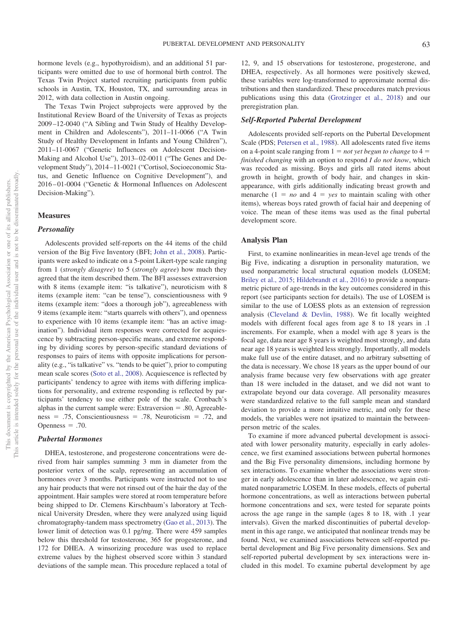hormone levels (e.g., hypothyroidism), and an additional 51 participants were omitted due to use of hormonal birth control. The Texas Twin Project started recruiting participants from public schools in Austin, TX, Houston, TX, and surrounding areas in 2012, with data collection in Austin ongoing.

The Texas Twin Project subprojects were approved by the Institutional Review Board of the University of Texas as projects 2009 –12-0040 ("A Sibling and Twin Study of Healthy Development in Children and Adolescents"), 2011–11-0066 ("A Twin Study of Healthy Development in Infants and Young Children"), 2011–11-0067 ("Genetic Influences on Adolescent Decision-Making and Alcohol Use"), 2013– 02-0011 ("The Genes and Development Study"), 2014 –11-0021 ("Cortisol, Socioeconomic Status, and Genetic Influence on Cognitive Development"), and 2016 – 01-0004 ("Genetic & Hormonal Influences on Adolescent Decision-Making").

#### **Measures**

#### *Personality*

Adolescents provided self-reports on the 44 items of the child version of the Big Five Inventory (BFI; [John et al., 2008\)](#page-12-20). Participants were asked to indicate on a 5-point Likert-type scale ranging from 1 (*strongly disagree*) to 5 (*strongly agree*) how much they agreed that the item described them. The BFI assesses extraversion with 8 items (example item: "is talkative"), neuroticism with 8 items (example item: "can be tense"), conscientiousness with 9 items (example item: "does a thorough job"), agreeableness with 9 items (example item: "starts quarrels with others"), and openness to experience with 10 items (example item: "has an active imagination"). Individual item responses were corrected for acquiescence by subtracting person-specific means, and extreme responding by dividing scores by person-specific standard deviations of responses to pairs of items with opposite implications for personality (e.g., "is talkative" vs. "tends to be quiet"), prior to computing mean scale scores [\(Soto et al., 2008\)](#page-13-18). Acquiescence is reflected by participants' tendency to agree with items with differing implications for personality, and extreme responding is reflected by participants' tendency to use either pole of the scale. Cronbach's alphas in the current sample were: Extraversion  $= .80$ , Agreeableness =  $.75$ , Conscientiousness =  $.78$ , Neuroticism =  $.72$ , and Openness  $= .70$ .

## *Pubertal Hormones*

DHEA, testosterone, and progesterone concentrations were derived from hair samples summing 3 mm in diameter from the posterior vertex of the scalp, representing an accumulation of hormones over 3 months. Participants were instructed not to use any hair products that were not rinsed out of the hair the day of the appointment. Hair samples were stored at room temperature before being shipped to Dr. Clemens Kirschbaum's laboratory at Technical University Dresden, where they were analyzed using liquid chromatography-tandem mass spectrometry [\(Gao et al., 2013\)](#page-12-21). The lower limit of detection was 0.1 pg/mg. There were 459 samples below this threshold for testosterone, 365 for progesterone, and 172 for DHEA. A winsorizing procedure was used to replace extreme values by the highest observed score within 3 standard deviations of the sample mean. This procedure replaced a total of

12, 9, and 15 observations for testosterone, progesterone, and DHEA, respectively. As all hormones were positively skewed, these variables were log-transformed to approximate normal distributions and then standardized. These procedures match previous publications using this data [\(Grotzinger et al., 2018\)](#page-12-22) and our preregistration plan.

#### *Self-Reported Pubertal Development*

Adolescents provided self-reports on the Pubertal Development Scale (PDS; [Petersen et al., 1988\)](#page-13-19). All adolescents rated five items on a 4-point scale ranging from  $1 = not$  *yet begun to change* to  $4 =$ *finished changing* with an option to respond *I do not know*, which was recoded as missing. Boys and girls all rated items about growth in height, growth of body hair, and changes in skinappearance, with girls additionally indicating breast growth and menarche  $(1 = no$  and  $4 = yes$  to maintain scaling with other items), whereas boys rated growth of facial hair and deepening of voice. The mean of these items was used as the final pubertal development score.

#### **Analysis Plan**

First, to examine nonlinearities in mean-level age trends of the Big Five, indicating a disruption in personality maturation, we used nonparametric local structural equation models (LOSEM; [Briley et al., 2015;](#page-12-23) [Hildebrandt et al., 2016\)](#page-12-24) to provide a nonparametric picture of age-trends in the key outcomes considered in this report (see participants section for details). The use of LOSEM is similar to the use of LOESS plots as an extension of regression analysis [\(Cleveland & Devlin, 1988\)](#page-12-25). We fit locally weighted models with different focal ages from age 8 to 18 years in .1 increments. For example, when a model with age 8 years is the focal age, data near age 8 years is weighted most strongly, and data near age 18 years is weighted less strongly. Importantly, all models make full use of the entire dataset, and no arbitrary subsetting of the data is necessary. We chose 18 years as the upper bound of our analysis frame because very few observations with age greater than 18 were included in the dataset, and we did not want to extrapolate beyond our data coverage. All personality measures were standardized relative to the full sample mean and standard deviation to provide a more intuitive metric, and only for these models, the variables were not ipsatized to maintain the betweenperson metric of the scales.

To examine if more advanced pubertal development is associated with lower personality maturity, especially in early adolescence, we first examined associations between pubertal hormones and the Big Five personality dimensions, including hormone by sex interactions. To examine whether the associations were stronger in early adolescence than in later adolescence, we again estimated nonparametric LOSEM. In these models, effects of pubertal hormone concentrations, as well as interactions between pubertal hormone concentrations and sex, were tested for separate points across the age range in the sample (ages 8 to 18, with .1 year intervals). Given the marked discontinuities of pubertal development in this age range, we anticipated that nonlinear trends may be found. Next, we examined associations between self-reported pubertal development and Big Five personality dimensions. Sex and self-reported pubertal development by sex interactions were included in this model. To examine pubertal development by age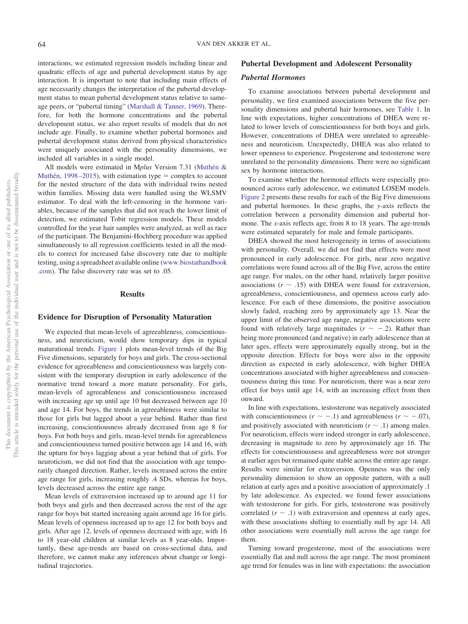interactions, we estimated regression models including linear and quadratic effects of age and pubertal development status by age interaction. It is important to note that including main effects of age necessarily changes the interpretation of the pubertal development status to mean pubertal development status relative to sameage peers, or "pubertal timing" [\(Marshall & Tanner, 1969\)](#page-13-20). Therefore, for both the hormone concentrations and the pubertal development status, we also report results of models that do not include age. Finally, to examine whether pubertal hormones and pubertal development status derived from physical characteristics were uniquely associated with the personality dimensions, we included all variables in a single model.

All models were estimated in M*plus* Version 7.31 [\(Muthén &](#page-13-21) Muthén, 1998–2015), with estimation type  $=$  complex to account for the nested structure of the data with individual twins nested within families. Missing data were handled using the WLSMV estimator. To deal with the left-censoring in the hormone variables, because of the samples that did not reach the lower limit of detection, we estimated Tobit regression models. These models controlled for the year hair samples were analyzed, as well as race of the participant. The Benjamini-Hochberg procedure was applied simultaneously to all regression coefficients tested in all the models to correct for increased false discovery rate due to multiple testing, using a spreadsheet available online [\(www.biostathandbook](http://www.biostathandbook.com) [.com\)](http://www.biostathandbook.com). The false discovery rate was set to .05.

## **Results**

## **Evidence for Disruption of Personality Maturation**

We expected that mean-levels of agreeableness, conscientiousness, and neuroticism, would show temporary dips in typical maturational trends. [Figure 1](#page-6-0) plots mean-level trends of the Big Five dimensions, separately for boys and girls. The cross-sectional evidence for agreeableness and conscientiousness was largely consistent with the temporary disruption in early adolescence of the normative trend toward a more mature personality. For girls, mean-levels of agreeableness and conscientiousness increased with increasing age up until age 10 but decreased between age 10 and age 14. For boys, the trends in agreeableness were similar to those for girls but lagged about a year behind. Rather than first increasing, conscientiousness already decreased from age 8 for boys. For both boys and girls, mean-level trends for agreeableness and conscientiousness turned positive between age 14 and 16, with the upturn for boys lagging about a year behind that of girls. For neuroticism, we did not find that the association with age temporarily changed direction. Rather, levels increased across the entire age range for girls, increasing roughly .4 SDs, whereas for boys, levels decreased across the entire age range.

Mean levels of extraversion increased up to around age 11 for both boys and girls and then decreased across the rest of the age range for boys but started increasing again around age 16 for girls. Mean levels of openness increased up to age 12 for both boys and girls. After age 12, levels of openness decreased with age, with 16 to 18 year-old children at similar levels as 8 year-olds. Importantly, these age-trends are based on cross-sectional data, and therefore, we cannot make any inferences about change or longitudinal trajectories.

## **Pubertal Development and Adolescent Personality**

#### *Pubertal Hormones*

To examine associations between pubertal development and personality, we first examined associations between the five personality dimensions and pubertal hair hormones, see [Table 1.](#page-7-0) In line with expectations, higher concentrations of DHEA were related to lower levels of conscientiousness for both boys and girls. However, concentrations of DHEA were unrelated to agreeableness and neuroticism. Unexpectedly, DHEA was also related to lower openness to experience. Progesterone and testosterone were unrelated to the personality dimensions. There were no significant sex by hormone interactions.

To examine whether the hormonal effects were especially pronounced across early adolescence, we estimated LOSEM models. [Figure 2](#page-8-0) presents these results for each of the Big Five dimensions and pubertal hormones. In these graphs, the *y*-axis reflects the correlation between a personality dimension and pubertal hormone. The *x*-axis reflects age, from 8 to 18 years. The age-trends were estimated separately for male and female participants.

DHEA showed the most heterogeneity in terms of associations with personality. Overall, we did not find that effects were most pronounced in early adolescence. For girls, near zero negative correlations were found across all of the Big Five, across the entire age range. For males, on the other hand, relatively larger positive associations  $(r \sim .15)$  with DHEA were found for extraversion, agreeableness, conscientiousness, and openness across early adolescence. For each of these dimensions, the positive association slowly faded, reaching zero by approximately age 13. Near the upper limit of the observed age range, negative associations were found with relatively large magnitudes  $(r \sim -.2)$ . Rather than being more pronounced (and negative) in early adolescence than at later ages, effects were approximately equally strong, but in the opposite direction. Effects for boys were also in the opposite direction as expected in early adolescence, with higher DHEA concentrations associated with higher agreeableness and conscientiousness during this time. For neuroticism, there was a near zero effect for boys until age 14, with an increasing effect from then onward.

In line with expectations, testosterone was negatively associated with conscientiousness  $(r \sim -.1)$  and agreeableness  $(r \sim -.07)$ , and positively associated with neuroticism  $(r \sim .1)$  among males. For neuroticism, effects were indeed stronger in early adolescence, decreasing in magnitude to zero by approximately age 16. The effects for conscientiousness and agreeableness were not stronger at earlier ages but remained quite stable across the entire age range. Results were similar for extraversion. Openness was the only personality dimension to show an opposite pattern, with a null relation at early ages and a positive association of approximately .1 by late adolescence. As expected, we found fewer associations with testosterone for girls. For girls, testosterone was positively correlated  $(r \sim .1)$  with extraversion and openness at early ages, with these associations shifting to essentially null by age 14. All other associations were essentially null across the age range for them.

Turning toward progesterone, most of the associations were essentially flat and null across the age range. The most prominent age trend for females was in line with expectations: the association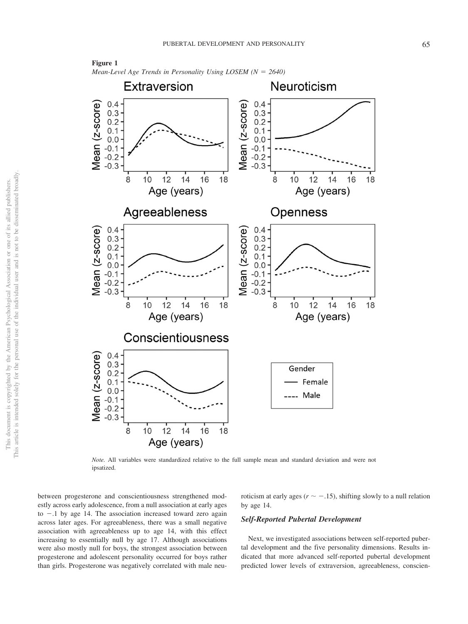

<span id="page-6-0"></span>**Figure 1** *Mean-Level Age Trends in Personality Using LOSEM* ( $N = 2640$ )

*Note.* All variables were standardized relative to the full sample mean and standard deviation and were not ipsatized.

between progesterone and conscientiousness strengthened modestly across early adolescence, from a null association at early ages to  $-1$  by age 14. The association increased toward zero again across later ages. For agreeableness, there was a small negative association with agreeableness up to age 14, with this effect increasing to essentially null by age 17. Although associations were also mostly null for boys, the strongest association between progesterone and adolescent personality occurred for boys rather than girls. Progesterone was negatively correlated with male neuroticism at early ages ( $r \sim -.15$ ), shifting slowly to a null relation by age 14.

## *Self-Reported Pubertal Development*

Next, we investigated associations between self-reported pubertal development and the five personality dimensions. Results indicated that more advanced self-reported pubertal development predicted lower levels of extraversion, agreeableness, conscien-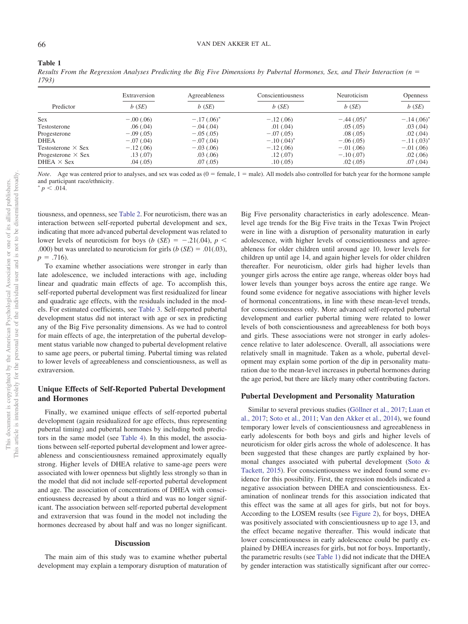#### <span id="page-7-0"></span>**Table 1**

*Results From the Regression Analyses Predicting the Big Five Dimensions by Pubertal Hormones, Sex, and Their Interaction (n* - *1793)*

|                           | Extraversion | Agreeableness | Conscientiousness | Neuroticism     | <b>Openness</b>          |
|---------------------------|--------------|---------------|-------------------|-----------------|--------------------------|
| Predictor                 | $b$ (SE)     | $b$ (SE)      | $b$ (SE)          | $b$ (SE)        | $b$ (SE)                 |
| <b>Sex</b>                | $-.00(.06)$  | $-.17(.06)^*$ | $-.12(.06)$       | $-.44(.05)^{4}$ | $-.14(.06)$ <sup>*</sup> |
| Testosterone              | .06(.04)     | $-.04(.04)$   | .01(.04)          | .05(.05)        | .03(0.04)                |
| Progesterone              | $-.09(.05)$  | $-.05(.05)$   | $-.07(.05)$       | .08(.05)        | .02(0.04)                |
| <b>DHEA</b>               | $-.07(.04)$  | $-.07(.04)$   | $-.10(.04)^*$     | $-.06(.05)$     | $-.11(.03)^{4}$          |
| Testosterone $\times$ Sex | $-.12(.06)$  | $-.03(.06)$   | $-.12(.06)$       | $-.01(.06)$     | $-.01(.06)$              |
| Progesterone $\times$ Sex | .13(0.07)    | .03(0.06)     | .12(.07)          | $-.10(.07)$     | .02(.06)                 |
| DHEA $\times$ Sex         | .04(0.05)    | .07(0.05)     | .10(0.05)         | .02(.05)        | .07(.04)                 |

*Note*. Age was centered prior to analyses, and sex was coded as  $(0 = female, 1 = male)$ . All models also controlled for batch year for the hormone sample and participant race/ethnicity.

 $p \leq .014.$ 

tiousness, and openness, see [Table 2.](#page-9-0) For neuroticism, there was an interaction between self-reported pubertal development and sex, indicating that more advanced pubertal development was related to lower levels of neuroticism for boys (*b* (*SE*) =  $-.21(.04)$ , *p* < .000) but was unrelated to neuroticism for girls  $(b (SE) = .01(.03))$ ,  $p = .716$ ).

To examine whether associations were stronger in early than late adolescence, we included interactions with age, including linear and quadratic main effects of age. To accomplish this, self-reported pubertal development was first residualized for linear and quadratic age effects, with the residuals included in the models. For estimated coefficients, see [Table 3.](#page-9-1) Self-reported pubertal development status did not interact with age or sex in predicting any of the Big Five personality dimensions. As we had to control for main effects of age, the interpretation of the pubertal development status variable now changed to pubertal development relative to same age peers, or pubertal timing. Pubertal timing was related to lower levels of agreeableness and conscientiousness, as well as extraversion.

## **Unique Effects of Self-Reported Pubertal Development and Hormones**

Finally, we examined unique effects of self-reported pubertal development (again residualized for age effects, thus representing pubertal timing) and pubertal hormones by including both predictors in the same model (see [Table 4\)](#page-10-0). In this model, the associations between self-reported pubertal development and lower agreeableness and conscientiousness remained approximately equally strong. Higher levels of DHEA relative to same-age peers were associated with lower openness but slightly less strongly so than in the model that did not include self-reported pubertal development and age. The association of concentrations of DHEA with conscientiousness decreased by about a third and was no longer significant. The association between self-reported pubertal development and extraversion that was found in the model not including the hormones decreased by about half and was no longer significant.

#### **Discussion**

The main aim of this study was to examine whether pubertal development may explain a temporary disruption of maturation of

Big Five personality characteristics in early adolescence. Meanlevel age trends for the Big Five traits in the Texas Twin Project were in line with a disruption of personality maturation in early adolescence, with higher levels of conscientiousness and agreeableness for older children until around age 10, lower levels for children up until age 14, and again higher levels for older children thereafter. For neuroticism, older girls had higher levels than younger girls across the entire age range, whereas older boys had lower levels than younger boys across the entire age range. We found some evidence for negative associations with higher levels of hormonal concentrations, in line with these mean-level trends, for conscientiousness only. More advanced self-reported pubertal development and earlier pubertal timing were related to lower levels of both conscientiousness and agreeableness for both boys and girls. These associations were not stronger in early adolescence relative to later adolescence. Overall, all associations were relatively small in magnitude. Taken as a whole, pubertal development may explain some portion of the dip in personality maturation due to the mean-level increases in pubertal hormones during the age period, but there are likely many other contributing factors.

#### **Pubertal Development and Personality Maturation**

Similar to several previous studies [\(Göllner et al., 2017;](#page-12-0) [Luan et](#page-13-1) [al., 2017;](#page-13-1) [Soto et al., 2011;](#page-13-2) [Van den Akker et al., 2014\)](#page-13-3), we found temporary lower levels of conscientiousness and agreeableness in early adolescents for both boys and girls and higher levels of neuroticism for older girls across the whole of adolescence. It has been suggested that these changes are partly explained by hormonal changes associated with pubertal development [\(Soto &](#page-13-5) [Tackett, 2015\)](#page-13-5). For conscientiousness we indeed found some evidence for this possibility. First, the regression models indicated a negative association between DHEA and conscientiousness. Examination of nonlinear trends for this association indicated that this effect was the same at all ages for girls, but not for boys. According to the LOSEM results (see [Figure 2\)](#page-8-0), for boys, DHEA was positively associated with conscientiousness up to age 13, and the effect became negative thereafter. This would indicate that lower conscientiousness in early adolescence could be partly explained by DHEA increases for girls, but not for boys. Importantly, the parametric results (see [Table 1\)](#page-7-0) did not indicate that the DHEA by gender interaction was statistically significant after our correc-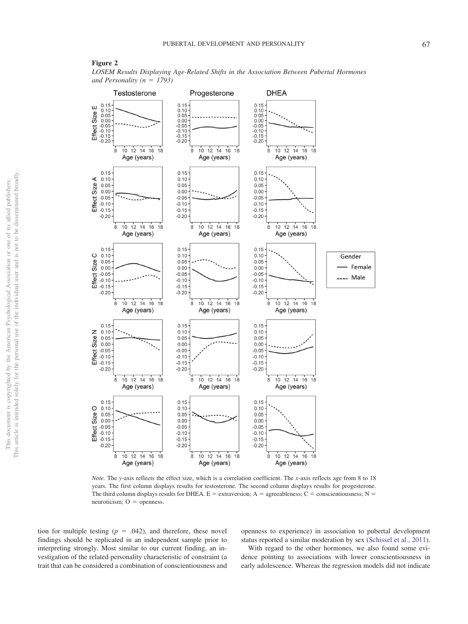## <span id="page-8-0"></span>**Figure 2**

*LOSEM Results Displaying Age-Related Shifts in the Association Between Pubertal Hormones* and Personality  $(n = 1793)$ 



*Note.* The *y*-axis reflects the effect size, which is a correlation coefficient. The *x*-axis reflects age from 8 to 18 years. The first column displays results for testosterone. The second column displays results for progesterone. The third column displays results for DHEA.  $E =$  extraversion; A = agreeableness; C = conscientiousness; N =  $neuroticism$ ;  $O =$  openness.

tion for multiple testing  $(p = .042)$ , and therefore, these novel findings should be replicated in an independent sample prior to interpreting strongly. Most similar to our current finding, an investigation of the related personality characteristic of constraint (a trait that can be considered a combination of conscientiousness and

openness to experience) in association to pubertal development status reported a similar moderation by sex [\(Schissel et al., 2011\)](#page-13-17).

With regard to the other hormones, we also found some evidence pointing to associations with lower conscientiousness in early adolescence. Whereas the regression models did not indicate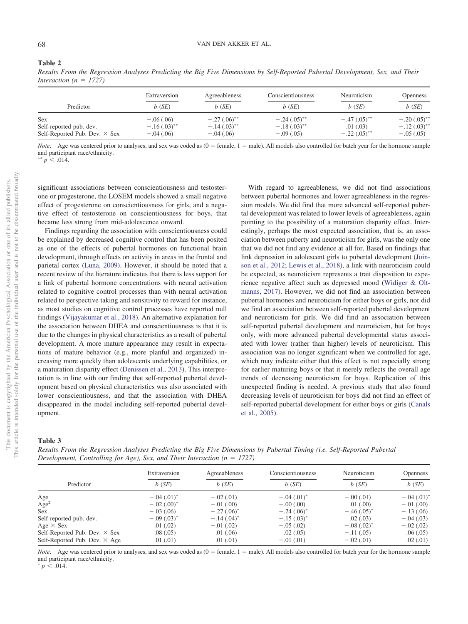#### <span id="page-9-0"></span>**Table 2**

*Results From the Regression Analyses Predicting the Big Five Dimensions by Self-Reported Pubertal Development, Sex, and Their Interaction*  $(n = 1727)$ 

| Predictor                            | Extraversion<br>$b$ (SE) | Agreeableness<br>$b$ (SE) | Conscientiousness<br>$b$ (SE) | Neuroticism<br>$b$ (SE)   | <b>Openness</b><br>b(SE) |
|--------------------------------------|--------------------------|---------------------------|-------------------------------|---------------------------|--------------------------|
|                                      |                          |                           |                               |                           |                          |
| Self-Reported Pub. Dev. $\times$ Sex | $-.04(.06)$              | $-.04(.06)$               | $-.09(.05)$                   | $-.22(.05)$ <sup>**</sup> | $-.05(.05)$              |

*Note*. Age was centered prior to analyses, and sex was coded as  $(0 = female, 1 = male)$ . All models also controlled for batch year for the hormone sample and participant race/ethnicity.

\*\*  $p \sim .014$ .

significant associations between conscientiousness and testosterone or progesterone, the LOSEM models showed a small negative effect of progesterone on conscientiousness for girls, and a negative effect of testosterone on conscientiousness for boys, that became less strong from mid-adolescence onward.

Findings regarding the association with conscientiousness could be explained by decreased cognitive control that has been posited as one of the effects of pubertal hormones on functional brain development, through effects on activity in areas in the frontal and parietal cortex [\(Luna, 2009\)](#page-13-22). However, it should be noted that a recent review of the literature indicates that there is less support for a link of pubertal hormone concentrations with neural activation related to cognitive control processes than with neural activation related to perspective taking and sensitivity to reward for instance, as most studies on cognitive control processes have reported null findings [\(Vijayakumar et al., 2018\)](#page-13-23). An alternative explanation for the association between DHEA and conscientiousness is that it is due to the changes in physical characteristics as a result of pubertal development. A more mature appearance may result in expectations of mature behavior (e.g., more planful and organized) increasing more quickly than adolescents underlying capabilities, or a maturation disparity effect [\(Denissen et al., 2013\)](#page-12-12). This interpretation is in line with our finding that self-reported pubertal development based on physical characteristics was also associated with lower conscientiousness, and that the association with DHEA disappeared in the model including self-reported pubertal development.

With regard to agreeableness, we did not find associations between pubertal hormones and lower agreeableness in the regression models. We did find that more advanced self-reported pubertal development was related to lower levels of agreeableness, again pointing to the possibility of a maturation disparity effect. Interestingly, perhaps the most expected association, that is, an association between puberty and neuroticism for girls, was the only one that we did not find any evidence at all for. Based on findings that link depression in adolescent girls to pubertal development [\(Join](#page-12-26)[son et al., 2012;](#page-12-26) [Lewis et al., 2018\)](#page-12-27), a link with neuroticism could be expected, as neuroticism represents a trait disposition to experience negative affect such as depressed mood [\(Widiger & Olt](#page-13-24)[manns, 2017\)](#page-13-24). However, we did not find an association between pubertal hormones and neuroticism for either boys or girls, nor did we find an association between self-reported pubertal development and neuroticism for girls. We did find an association between self-reported pubertal development and neuroticism, but for boys only, with more advanced pubertal developmental status associated with lower (rather than higher) levels of neuroticism. This association was no longer significant when we controlled for age, which may indicate either that this effect is not especially strong for earlier maturing boys or that it merely reflects the overall age trends of decreasing neuroticism for boys. Replication of this unexpected finding is needed. A previous study that also found decreasing levels of neuroticism for boys did not find an effect of self-reported pubertal development for either boys or girls [\(Canals](#page-12-17) [et al., 2005\)](#page-12-17).

#### <span id="page-9-1"></span>**Table 3**

This document is copyrighted by the American Psychological Association or one of its allied publishers. This article is intended solely for the personal use of the individual user and is not to be disseminated broadly.

This document is copyrighted by the American Psychological Association

one of its allied publishers.

 $\rm \tilde{o}$ 

This article is intended solely for the personal use of the individual user and is not to be disseminated broadly

*Results From the Regression Analyses Predicting the Big Five Dimensions by Pubertal Timing (i.e. Self-Reported Pubertal Development, Controlling for Age), Sex, and Their Interaction (n = 1727)* 

| Predictor                            | Extraversion<br>$b$ (SE) | Agreeableness<br>$b$ (SE) | Conscientiousness<br>$b$ (SE) | Neuroticism<br>$b$ (SE) | <b>Openness</b><br>$b$ (SE) |
|--------------------------------------|--------------------------|---------------------------|-------------------------------|-------------------------|-----------------------------|
|                                      |                          |                           |                               |                         |                             |
| Age <sup>2</sup>                     | $-.02(.00)^*$            | $-.01(.00)$               | $-.00(.00)$                   | .01(.00)                | $-.01(.00)$                 |
| <b>Sex</b>                           | $-.03(.06)$              | $-.27(.06)^*$             | $-.24(.06)^*$                 | $-.46(.05)^*$           | $-.13(.06)$                 |
| Self-reported pub. dev.              | $-.09(.03)^*$            | $-.14(.04)^*$             | $-.15(.03)^*$                 | .02(.03)                | $-.04(.03)$                 |
| Age $\times$ Sex                     | .01(.02)                 | $-.01(.02)$               | $-.05(.02)$                   | $-.08(.02)^*$           | $-.02(.02)$                 |
| Self-Reported Pub. Dev. $\times$ Sex | .08(.05)                 | .01(.06)                  | .02(.05)                      | $-.11(.05)$             | .06(.05)                    |
| Self-Reported Pub. Dev. $\times$ Age | .01(0.01)                | .01(0.01)                 | $-.01(.01)$                   | $-.02(.01)$             | .02(0.01)                   |

*Note*. Age was centered prior to analyses, and sex was coded as  $(0 = \text{female}, 1 = \text{male})$ . All models also controlled for batch year for the hormone sample and participant race/ethnicity.

 $p \leq .014.$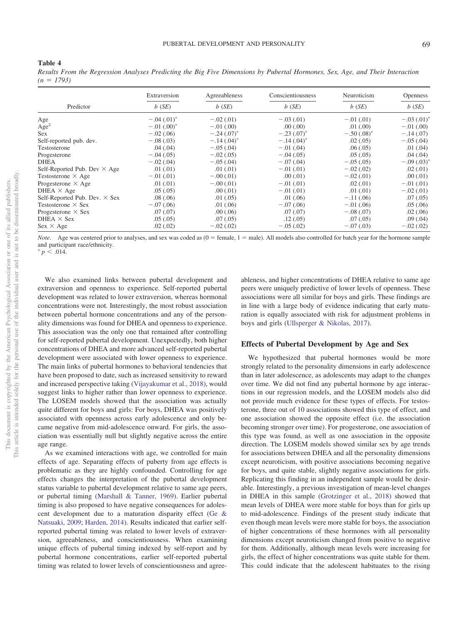<span id="page-10-0"></span>**Table 4**

*Results From the Regression Analyses Predicting the Big Five Dimensions by Pubertal Hormones, Sex, Age, and Their Interaction*  $(n = 1793)$ 

| Predictor                            | Extraversion<br>$b$ (SE) | Agreeableness<br>$b$ (SE) | Conscientiousness<br>b(SE) | Neuroticism<br>b(SE) | <b>Openness</b><br>b(SE) |
|--------------------------------------|--------------------------|---------------------------|----------------------------|----------------------|--------------------------|
|                                      |                          |                           |                            |                      |                          |
| Age <sup>2</sup>                     | $-.01(.00)^*$            | $-.01(.00)$               | .00(.00)                   | .01(.00)             | $-.01(.00)$              |
| <b>Sex</b>                           | $-.02(.06)$              | $-.24(.07)^*$             | $-.23(.07)^*$              | $-.50(.08)^*$        | $-.14(.07)$              |
| Self-reported pub. dev.              | $-.08(.03)$              | $-.14(.04)^*$             | $-.14(.04)^*$              | .02(0.05)            | $-.05(.04)$              |
| Testosterone                         | .04(0.04)                | $-.05(.04)$               | $-.01(.04)$                | .06(.05)             | .01(.04)                 |
| Progesterone                         | $-.04(.05)$              | $-.02(.05)$               | $-.04(.05)$                | .05(.05)             | .04(.04)                 |
| DHEA                                 | $-.02(.04)$              | $-.05(.04)$               | $-.07(.04)$                | $-.05(.05)$          | $-.09(.03)^*$            |
| Self-Reported Pub. Dev $\times$ Age  | .01(.01)                 | .01(0.01)                 | $-.01(.01)$                | $-.02(.02)$          | .02(0.01)                |
| Testosterone $\times$ Age            | $-.01(.01)$              | $-.00(.01)$               | .00(.01)                   | $-.02(.01)$          | .00(0.01)                |
| Progesterone $\times$ Age            | .01(0.01)                | $-.00(.01)$               | $-.01(.01)$                | .02(0.01)            | $-.01(.01)$              |
| DHEA $\times$ Age                    | .05(.05)                 | .00(0.01)                 | $-.01(.01)$                | .01(0.01)            | $-.02(.01)$              |
| Self-Reported Pub. Dev. $\times$ Sex | .08(.06)                 | .01(.05)                  | .01(.06)                   | $-.11(.06)$          | .07(.05)                 |
| Testosterone $\times$ Sex            | $-.07(.06)$              | .01(.06)                  | $-.07(.06)$                | $-.01(.06)$          | .05(.06)                 |
| Progesterone $\times$ Sex            | .07(.07)                 | .00(.06)                  | .07(.07)                   | $-.08(.07)$          | .02(.06)                 |
| DHEA $\times$ Sex                    | .05(.05)                 | .07(.05)                  | .12(.05)                   | .07(.05)             | .09(0.04)                |
| $Sex \times Age$                     | .02(0.02)                | $-.02(.02)$               | $-.05(.02)$                | $-.07(.03)$          | $-.02(.02)$              |

*Note*. Age was centered prior to analyses, and sex was coded as  $(0 = female, 1 = male)$ . All models also controlled for batch year for the hormone sample and participant race/ethnicity.

 $p \leq .014.$ 

We also examined links between pubertal development and extraversion and openness to experience. Self-reported pubertal development was related to lower extraversion, whereas hormonal concentrations were not. Interestingly, the most robust association between pubertal hormone concentrations and any of the personality dimensions was found for DHEA and openness to experience. This association was the only one that remained after controlling for self-reported pubertal development. Unexpectedly, both higher concentrations of DHEA and more advanced self-reported pubertal development were associated with lower openness to experience. The main links of pubertal hormones to behavioral tendencies that have been proposed to date, such as increased sensitivity to reward and increased perspective taking [\(Vijayakumar et al., 2018\)](#page-13-23), would suggest links to higher rather than lower openness to experience. The LOSEM models showed that the association was actually quite different for boys and girls: For boys, DHEA was positively associated with openness across early adolescence and only became negative from mid-adolescence onward. For girls, the association was essentially null but slightly negative across the entire age range.

As we examined interactions with age, we controlled for main effects of age. Separating effects of puberty from age effects is problematic as they are highly confounded. Controlling for age effects changes the interpretation of the pubertal development status variable to pubertal development relative to same age peers, or pubertal timing [\(Marshall & Tanner, 1969\)](#page-13-20). Earlier pubertal timing is also proposed to have negative consequences for adolescent development due to a maturation disparity effect [\(Ge &](#page-12-28) [Natsuaki, 2009;](#page-12-28) [Harden, 2014\)](#page-12-29). Results indicated that earlier selfreported pubertal timing was related to lower levels of extraversion, agreeableness, and conscientiousness. When examining unique effects of pubertal timing indexed by self-report and by pubertal hormone concentrations, earlier self-reported pubertal timing was related to lower levels of conscientiousness and agreeableness, and higher concentrations of DHEA relative to same age peers were uniquely predictive of lower levels of openness. These associations were all similar for boys and girls. These findings are in line with a large body of evidence indicating that early maturation is equally associated with risk for adjustment problems in boys and girls [\(Ullsperger & Nikolas, 2017\)](#page-13-25).

#### **Effects of Pubertal Development by Age and Sex**

We hypothesized that pubertal hormones would be more strongly related to the personality dimensions in early adolescence than in later adolescence, as adolescents may adapt to the changes over time. We did not find any pubertal hormone by age interactions in our regression models, and the LOSEM models also did not provide much evidence for these types of effects. For testosterone, three out of 10 associations showed this type of effect, and one association showed the opposite effect (i.e. the association becoming stronger over time). For progesterone, one association of this type was found, as well as one association in the opposite direction. The LOSEM models showed similar sex by age trends for associations between DHEA and all the personality dimensions except neuroticism, with positive associations becoming negative for boys, and quite stable, slightly negative associations for girls. Replicating this finding in an independent sample would be desirable. Interestingly, a previous investigation of mean-level changes in DHEA in this sample [\(Grotzinger et al., 2018\)](#page-12-22) showed that mean levels of DHEA were more stable for boys than for girls up to mid-adolescence. Findings of the present study indicate that even though mean levels were more stable for boys, the association of higher concentrations of these hormones with all personality dimensions except neuroticism changed from positive to negative for them. Additionally, although mean levels were increasing for girls, the effect of higher concentrations was quite stable for them. This could indicate that the adolescent habituates to the rising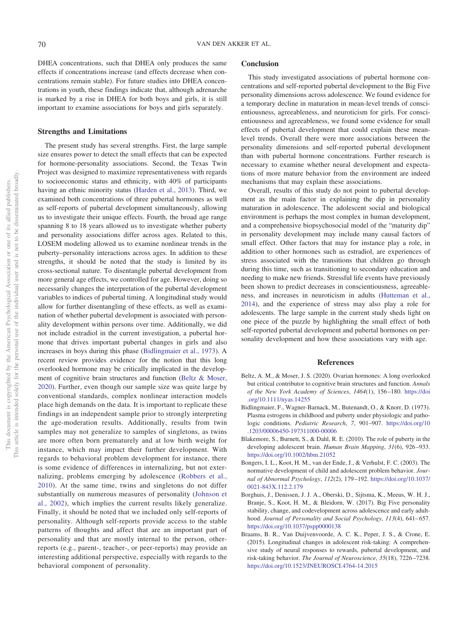DHEA concentrations, such that DHEA only produces the same effects if concentrations increase (and effects decrease when concentrations remain stable). For future studies into DHEA concentrations in youth, these findings indicate that, although adrenarche is marked by a rise in DHEA for both boys and girls, it is still important to examine associations for boys and girls separately.

#### **Strengths and Limitations**

The present study has several strengths. First, the large sample size ensures power to detect the small effects that can be expected for hormone-personality associations. Second, the Texas Twin Project was designed to maximize representativeness with regards to socioeconomic status and ethnicity, with 40% of participants having an ethnic minority status [\(Harden et al., 2013\)](#page-12-19). Third, we examined both concentrations of three pubertal hormones as well as self-reports of pubertal development simultaneously, allowing us to investigate their unique effects. Fourth, the broad age range spanning 8 to 18 years allowed us to investigate whether puberty and personality associations differ across ages. Related to this, LOSEM modeling allowed us to examine nonlinear trends in the puberty–personality interactions across ages. In addition to these strengths, it should be noted that the study is limited by its cross-sectional nature. To disentangle pubertal development from more general age effects, we controlled for age. However, doing so necessarily changes the interpretation of the pubertal development variables to indices of pubertal timing. A longitudinal study would allow for further disentangling of these effects, as well as examination of whether pubertal development is associated with personality development within persons over time. Additionally, we did not include estradiol in the current investigation, a pubertal hormone that drives important pubertal changes in girls and also increases in boys during this phase [\(Bidlingmaier et al., 1973\)](#page-11-4). A recent review provides evidence for the notion that this long overlooked hormone may be critically implicated in the development of cognitive brain structures and function [\(Beltz & Moser,](#page-11-5) [2020\)](#page-11-5). Further, even though our sample size was quite large by conventional standards, complex nonlinear interaction models place high demands on the data. It is important to replicate these findings in an independent sample prior to strongly interpreting the age-moderation results. Additionally, results from twin samples may not generalize to samples of singletons, as twins are more often born prematurely and at low birth weight for instance, which may impact their further development. With regards to behavioral problem development for instance, there is some evidence of differences in internalizing, but not externalizing, problems emerging by adolescence [\(Robbers et al.,](#page-13-26) [2010\)](#page-13-26). At the same time, twins and singletons do not differ substantially on numerous measures of personality [\(Johnson et](#page-12-30) [al., 2002\)](#page-12-30), which implies the current results likely generalize. Finally, it should be noted that we included only self-reports of personality. Although self-reports provide access to the stable patterns of thoughts and affect that are an important part of personality and that are mostly internal to the person, otherreports (e.g., parent-, teacher-, or peer-reports) may provide an interesting additional perspective, especially with regards to the behavioral component of personality.

## **Conclusion**

This study investigated associations of pubertal hormone concentrations and self-reported pubertal development to the Big Five personality dimensions across adolescence. We found evidence for a temporary decline in maturation in mean-level trends of conscientiousness, agreeableness, and neuroticism for girls. For conscientiousness and agreeableness, we found some evidence for small effects of pubertal development that could explain these meanlevel trends. Overall there were more associations between the personality dimensions and self-reported pubertal development than with pubertal hormone concentrations. Further research is necessary to examine whether neural development and expectations of more mature behavior from the environment are indeed mechanisms that may explain these associations.

Overall, results of this study do not point to pubertal development as the main factor in explaining the dip in personality maturation in adolescence. The adolescent social and biological environment is perhaps the most complex in human development, and a comprehensive biopsychosocial model of the "maturity dip" in personality development may include many causal factors of small effect. Other factors that may for instance play a role, in addition to other hormones such as estradiol, are experiences of stress associated with the transitions that children go through during this time, such as transitioning to secondary education and needing to make new friends. Stressful life events have previously been shown to predict decreases in conscientiousness, agreeableness, and increases in neuroticism in adults [\(Hutteman et al.,](#page-12-31) [2014\)](#page-12-31), and the experience of stress may also play a role for adolescents. The large sample in the current study sheds light on one piece of the puzzle by highlighting the small effect of both self-reported pubertal development and pubertal hormones on personality development and how these associations vary with age.

#### **References**

- <span id="page-11-5"></span>Beltz, A. M., & Moser, J. S. (2020). Ovarian hormones: A long overlooked but critical contributor to cognitive brain structures and function. *Annals of the New York Academy of Sciences*, *1464*(1), 156 –180. [https://doi](https://doi.org/10.1111/nyas.14255) [.org/10.1111/nyas.14255](https://doi.org/10.1111/nyas.14255)
- <span id="page-11-4"></span>Bidlingmaier, F., Wagner-Barnack, M., Butenandt, O., & Knorr, D. (1973). Plasma estrogens in childhood and puberty under physiologic and pathologic conditions. *Pediatric Research*, *7*, 901–907. [https://doi.org/10](https://doi.org/10.1203/00006450-197311000-00006) [.1203/00006450-197311000-00006](https://doi.org/10.1203/00006450-197311000-00006)
- <span id="page-11-2"></span>Blakemore, S., Burnett, S., & Dahl, R. E. (2010). The role of puberty in the developing adolescent brain. *Human Brain Mapping*, *31*(6), 926 –933. <https://doi.org/10.1002/hbm.21052>
- <span id="page-11-1"></span>Bongers, I. L., Koot, H. M., van der Ende, J., & Verhulst, F. C. (2003). The normative development of child and adolescent problem behavior. *Journal of Abnormal Psychology*, *112*(2), 179 –192. [https://doi.org/10.1037/](https://doi.org/10.1037/0021-843X.112.2.179) [0021-843X.112.2.179](https://doi.org/10.1037/0021-843X.112.2.179)
- <span id="page-11-0"></span>Borghuis, J., Denissen, J. J. A., Oberski, D., Sijtsma, K., Meeus, W. H. J., Branje, S., Koot, H. M., & Bleidorn, W. (2017). Big Five personality stability, change, and codevelopment across adolescence and early adulthood. *Journal of Personality and Social Psychology*, 113(4), 641-657. <https://doi.org/10.1037/pspp0000138>
- <span id="page-11-3"></span>Braams, B. R., Van Duijvenvoorde, A. C. K., Peper, J. S., & Crone, E. (2015). Longitudinal changes in adolescent risk-taking: A comprehensive study of neural responses to rewards, pubertal development, and risk-taking behavior. *The Journal of Neuroscience*, *35*(18), 7226 –7238. <https://doi.org/10.1523/JNEUROSCI.4764-14.2015>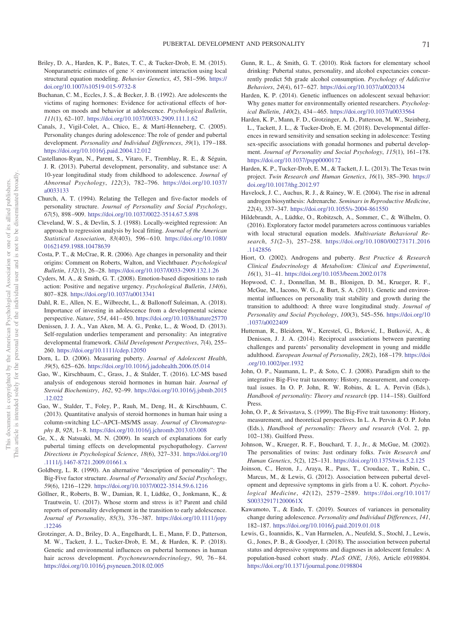- <span id="page-12-23"></span>Briley, D. A., Harden, K. P., Bates, T. C., & Tucker-Drob, E. M. (2015). Nonparametric estimates of gene  $\times$  environment interaction using local structural equation modeling. *Behavior Genetics*, *45*, 581–596. [https://](https://doi.org/10.1007/s10519-015-9732-8) [doi.org/10.1007/s10519-015-9732-8](https://doi.org/10.1007/s10519-015-9732-8)
- <span id="page-12-9"></span>Buchanan, C. M., Eccles, J. S., & Becker, J. B. (1992). Are adolescents the victims of raging hormones: Evidence for activational effects of hormones on moods and behavior at adolescence. *Psychological Bulletin*, *111*(1), 62–107. <https://doi.org/10.1037/0033-2909.111.1.62>
- <span id="page-12-17"></span>Canals, J., Vigil-Colet, A., Chico, E., & Martí-Henneberg, C. (2005). Personality changes during adolescence: The role of gender and pubertal development. *Personality and Individual Differences*, *39*(1), 179 –188. <https://doi.org/10.1016/j.paid.2004.12.012>
- <span id="page-12-16"></span>Castellanos-Ryan, N., Parent, S., Vitaro, F., Tremblay, R. E., & Séguin, J. R. (2013). Pubertal development, personality, and substance use: A 10-year longitudinal study from childhood to adolescence. *Journal of Abnormal Psychology*, *122*(3), 782–796. [https://doi.org/10.1037/](https://doi.org/10.1037/a0033133) [a0033133](https://doi.org/10.1037/a0033133)
- <span id="page-12-15"></span>Church, A. T. (1994). Relating the Tellegen and five-factor models of personality structure. *Journal of Personality and Social Psychology*, *67*(5), 898 –909. <https://doi.org/10.1037/0022-3514.67.5.898>
- <span id="page-12-25"></span>Cleveland, W. S., & Devlin, S. J. (1988). Locally-weighted regression: An approach to regression analysis by local fitting. *Journal of the American Statistical Association*, *83*(403), 596 – 610. [https://doi.org/10.1080/](https://doi.org/10.1080/01621459.1988.10478639) [01621459.1988.10478639](https://doi.org/10.1080/01621459.1988.10478639)
- <span id="page-12-2"></span>Costa, P. T., & McCrae, R. R. (2006). Age changes in personality and their origins: Comment on Roberts, Walton, and Viechtbauer. *Psychological Bulletin*, *132*(1), 26 –28. <https://doi.org/10.1037/0033-2909.132.1.26>
- <span id="page-12-14"></span>Cyders, M. A., & Smith, G. T. (2008). Emotion-based dispositions to rash action: Positive and negative urgency. *Psychological Bulletin*, *134*(6), 807– 828. <https://doi.org/10.1037/a0013341>
- <span id="page-12-8"></span>Dahl, R. E., Allen, N. E., Wilbrecht, L., & Ballonoff Suleiman, A. (2018). Importance of investing in adolescence from a developmental science perspective. *Nature*, *554*, 441– 450. <https://doi.org/10.1038/nature25770>
- <span id="page-12-12"></span>Denissen, J. J. A., Van Aken, M. A. G., Penke, L., & Wood, D. (2013). Self-regulation underlies temperament and personality: An integrative developmental framework. *Child Development Perspectives*, *7*(4), 255– 260. <https://doi.org/10.1111/cdep.12050>
- <span id="page-12-7"></span>Dorn, L. D. (2006). Measuring puberty. *Journal of Adolescent Health*, *39*(5), 625– 626. <https://doi.org/10.1016/j.jadohealth.2006.05.014>
- <span id="page-12-18"></span>Gao, W., Kirschbaum, C., Grass, J., & Stalder, T. (2016). LC-MS based analysis of endogenous steroid hormones in human hair. *Journal of Steroid Biochemistry*, *162*, 92–99. [https://doi.org/10.1016/j.jsbmb.2015](https://doi.org/10.1016/j.jsbmb.2015.12.022) [.12.022](https://doi.org/10.1016/j.jsbmb.2015.12.022)
- <span id="page-12-21"></span>Gao, W., Stalder, T., Foley, P., Rauh, M., Deng, H., & Kirschbaum, C. (2013). Quantitative analysis of steroid hormones in human hair using a column-switching LC–APCI–MS/MS assay. *Journal of Chromatography B*, *928*, 1– 8. <https://doi.org/10.1016/j.jchromb.2013.03.008>
- <span id="page-12-28"></span>Ge, X., & Natsuaki, M. N. (2009). In search of explanations for early pubertal timing effects on developmental psychopathology. *Current Directions in Psychological Science*, *18*(6), 327–331. [https://doi.org/10](https://doi.org/10.1111/j.1467-8721.2009.01661.x) [.1111/j.1467-8721.2009.01661.x](https://doi.org/10.1111/j.1467-8721.2009.01661.x)
- <span id="page-12-1"></span>Goldberg, L. R. (1990). An alternative "description of personality": The Big-Five factor structure. *Journal of Personality and Social Psychology*, *59*(6), 1216 –1229. <https://doi.org/10.1037/0022-3514.59.6.1216>
- <span id="page-12-0"></span>Göllner, R., Roberts, B. W., Damian, R. I., Lüdtke, O., Jonkmann, K., & Trautwein, U. (2017). Whose storm and stress is it? Parent and child reports of personality development in the transition to early adolescence. *Journal of Personality*, *85*(3), 376 –387. [https://doi.org/10.1111/jopy](https://doi.org/10.1111/jopy.12246) [.12246](https://doi.org/10.1111/jopy.12246)
- <span id="page-12-22"></span>Grotzinger, A. D., Briley, D. A., Engelhardt, L. E., Mann, F. D., Patterson, M. W., Tackett, J. L., Tucker-Drob, E. M., & Harden, K. P. (2018). Genetic and environmental influences on pubertal hormones in human hair across development. *Psychoneuroendocrinology*, 90, 76-84. <https://doi.org/10.1016/j.psyneuen.2018.02.005>
- <span id="page-12-13"></span>Gunn, R. L., & Smith, G. T. (2010). Risk factors for elementary school drinking: Pubertal status, personality, and alcohol expectancies concurrently predict 5th grade alcohol consumption. *Psychology of Addictive Behaviors*, *24*(4), 617– 627. <https://doi.org/10.1037/a0020334>
- <span id="page-12-29"></span>Harden, K. P. (2014). Genetic influences on adolescent sexual behavior: Why genes matter for environmentally oriented researchers. *Psychological Bulletin*, *140*(2), 434 – 465. <https://doi.org/10.1037/a0033564>
- <span id="page-12-11"></span>Harden, K. P., Mann, F. D., Grotzinger, A. D., Patterson, M. W., Steinberg, L., Tackett, J. L., & Tucker-Drob, E. M. (2018). Developmental differences in reward sensitivity and sensation seeking in adolescence: Testing sex-specific associations with gonadal hormones and pubertal development. *Journal of Personality and Social Psychology*, *115*(1), 161–178. <https://doi.org/10.1037/pspp0000172>
- <span id="page-12-19"></span>Harden, K. P., Tucker-Drob, E. M., & Tackett, J. L. (2013). The Texas twin project. *Twin Research and Human Genetics*, *16*(1), 385–390. [https://](https://doi.org/10.1017/thg.2012.97) [doi.org/10.1017/thg.2012.97](https://doi.org/10.1017/thg.2012.97)
- <span id="page-12-5"></span>Havelock, J. C., Auchus, R. J., & Rainey, W. E. (2004). The rise in adrenal androgen biosynthesis: Adrenarche. *Seminars in Reproductive Medicine*, *22*(4), 337–347. <https://doi.org/10.1055/s-2004-861550>
- <span id="page-12-24"></span>Hildebrandt, A., Lüdtke, O., Robitzsch, A., Sommer, C., & Wilhelm, O. (2016). Exploratory factor model parameters across continuous variables with local structural equation models. *Multivariate Behavioral Research*, *51*(2–3), 257–258. [https://doi.org/10.1080/00273171.2016](https://doi.org/10.1080/00273171.2016.1142856) [.1142856](https://doi.org/10.1080/00273171.2016.1142856)
- <span id="page-12-6"></span>Hiort, O. (2002). Androgens and puberty. *Best Practice & Research Clinical Endocrinology & Metabolism: Clinical and Experimental*, 16(1), 31-41. <https://doi.org/10.1053/beem.2002.0178>
- <span id="page-12-3"></span>Hopwood, C. J., Donnellan, M. B., Blonigen, D. M., Krueger, R. F., McGue, M., Iacono, W. G., & Burt, S. A. (2011). Genetic and environmental influences on personality trait stability and growth during the transition to adulthood: A three wave longitudinal study. *Journal of Personality and Social Psychology*, *100*(3), 545–556. [https://doi.org/10](https://doi.org/10.1037/a0022409) [.1037/a0022409](https://doi.org/10.1037/a0022409)
- <span id="page-12-31"></span>Hutteman, R., Bleidorn, W., Keresteš, G., Brković, I., Butković, A., & Denissen, J. J. A. (2014). Reciprocal associations between parenting challenges and parents' personality development in young and middle adulthood. *European Journal of Personality*, *28*(2), 168 –179. [https://doi](https://doi.org/10.1002/per.1932) [.org/10.1002/per.1932](https://doi.org/10.1002/per.1932)
- <span id="page-12-20"></span>John, O. P., Naumann, L. P., & Soto, C. J. (2008). Paradigm shift to the integrative Big-Five trait taxonomy: History, measurement, and conceptual issues. In O. P. John, R. W. Robins, & L. A. Pervin (Eds.), *Handbook of personality: Theory and research* (pp. 114 –158). Guilford Press.
- <span id="page-12-10"></span>John, O. P., & Srivastava, S. (1999). The Big-Five trait taxonomy: History, measurement, and theoretical perspectives. In L. A. Pervin & O. P. John (Eds.), *Handbook of personality: Theory and research* (Vol. 2, pp. 102–138). Guilford Press.
- <span id="page-12-30"></span>Johnson, W., Krueger, R. F., Bouchard, T. J., Jr., & McGue, M. (2002). The personalities of twins: Just ordinary folks. *Twin Research and Human Genetics*, *5*(2), 125–131. <https://doi.org/10.1375/twin.5.2.125>
- <span id="page-12-26"></span>Joinson, C., Heron, J., Araya, R., Paus, T., Croudace, T., Rubin, C., Marcus, M., & Lewis, G. (2012). Association between pubertal development and depressive symptoms in girls from a U. K. cohort. *Psychological Medicine*, *42*(12), 2579 –2589. [https://doi.org/10.1017/](https://doi.org/10.1017/S003329171200061X) [S003329171200061X](https://doi.org/10.1017/S003329171200061X)
- <span id="page-12-4"></span>Kawamoto, T., & Endo, T. (2019). Sources of variances in personality change during adolescence. *Personality and Individual Differences*, *141*, 182–187. <https://doi.org/10.1016/j.paid.2019.01.018>
- <span id="page-12-27"></span>Lewis, G., Ioannidis, K., Van Harmelen, A., Neufeld, S., Stochl, J., Lewis, G., Jones, P. B., & Goodyer, I. (2018). The association between pubertal status and depressive symptoms and diagnoses in adolescent females: A population-based cohort study. *PLoS ONE*, *13*(6), Article e0198804. <https://doi.org/10.1371/journal.pone.0198804>